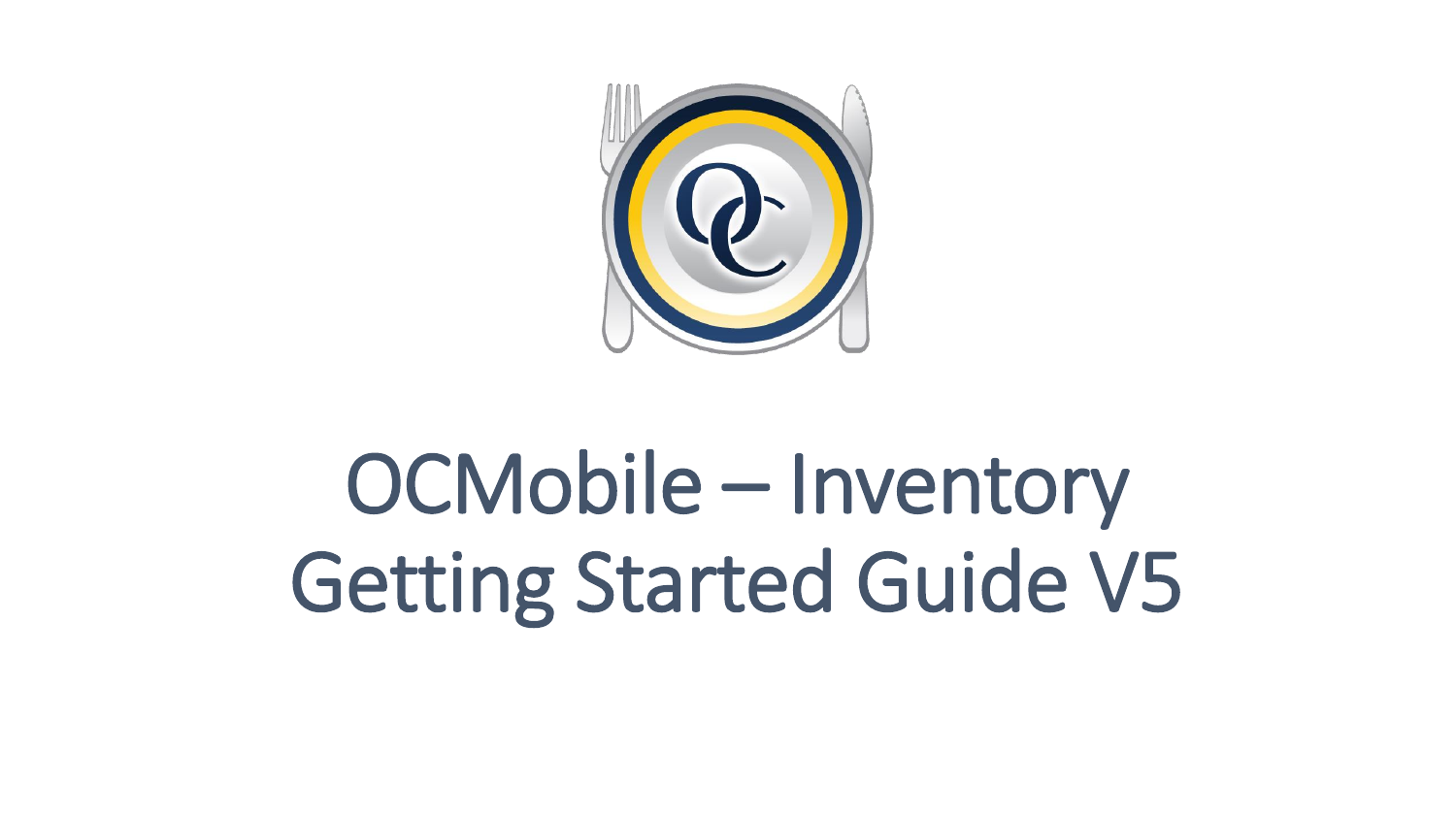

# OCMobile – Inventory Getting Started Guide V5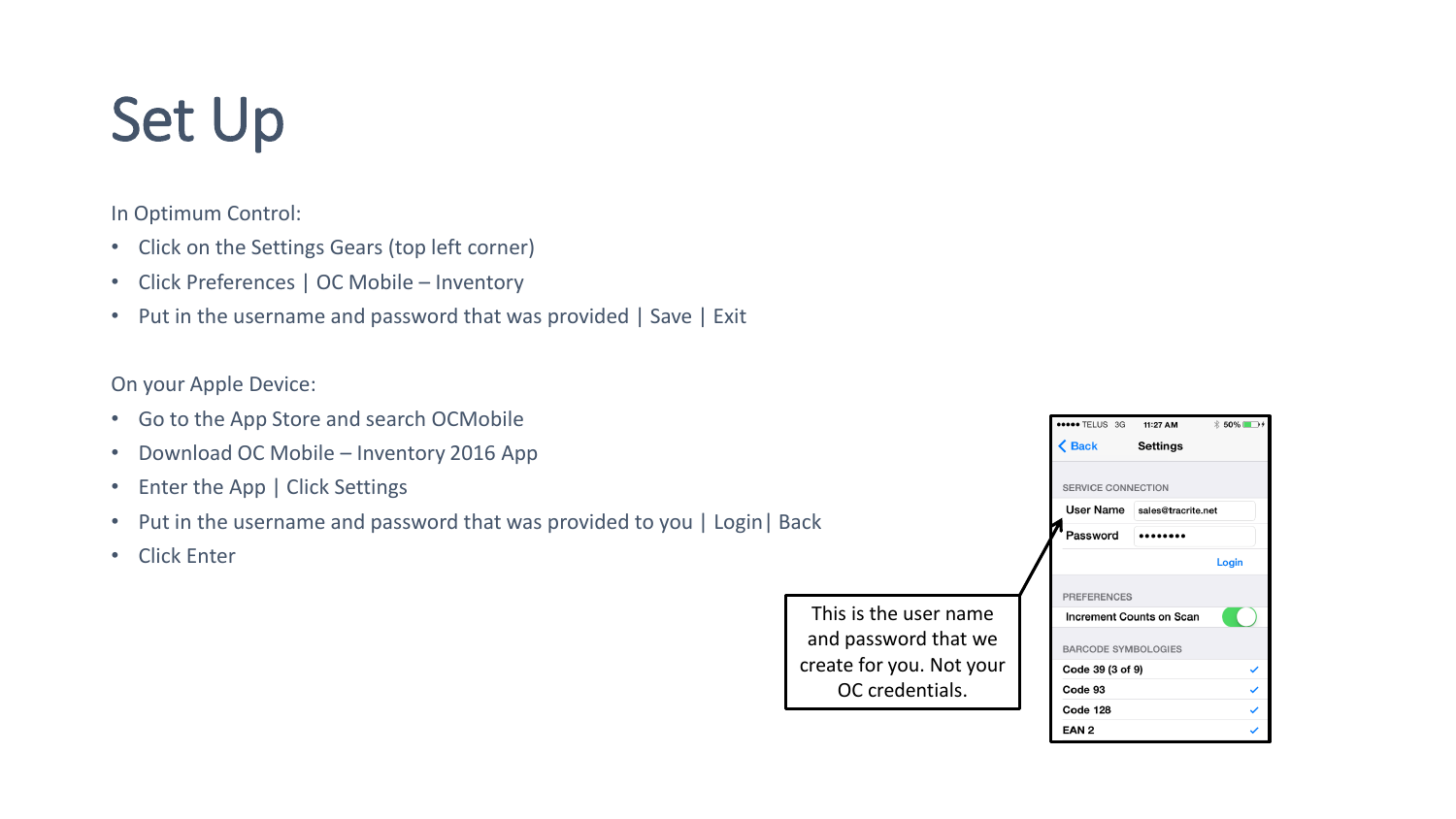# Set Up

In Optimum Control:

- Click on the Settings Gears (top left corner)
- Click Preferences | OC Mobile Inventory
- Put in the username and password that was provided | Save | Exit

On your Apple Device:

- Go to the App Store and search OCMobile
- Download OC Mobile Inventory 2016 App
- Enter the App | Click Settings
- Put in the username and password that was provided to you | Login| Back
- Click Enter

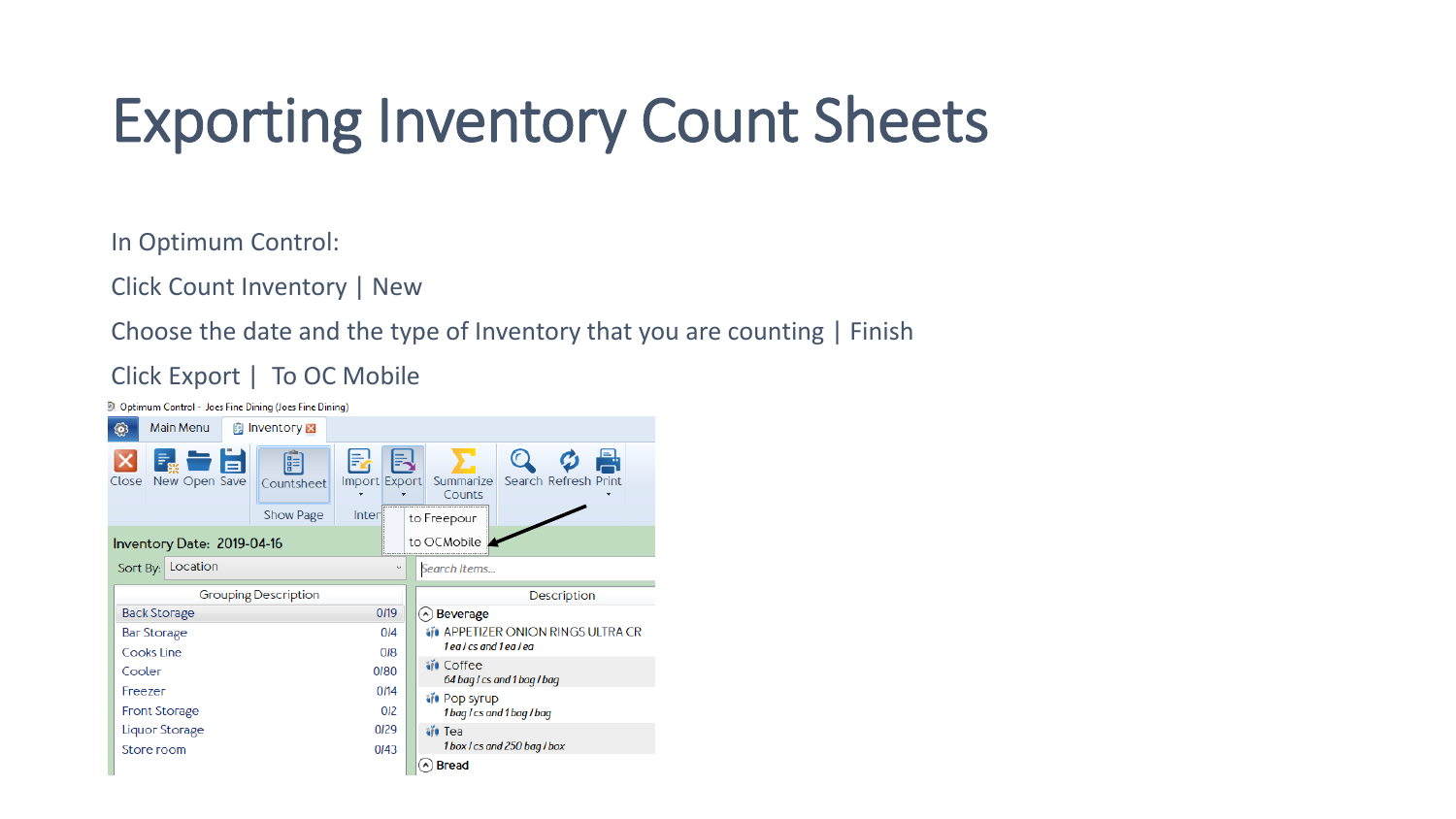#### Exporting Inventory Count Sheets

In Optimum Control:

Click Count Inventory | New

Choose the date and the type of Inventory that you are counting | Finish

Click Export | To OC Mobile

D Optimum Control - Joes Fine Dining (Joes Fine Dining) Main Menu **B** Inventory X ම 偏 晶 囩 e Ξ Close New Open Save Import Export Summarize Search Refresh Print Countsheet Counts Show Page  $Inter$ to Freepour to OCMobile Inventory Date: 2019-04-16 Sort By: Location Search Items... **Grouping Description** Description **Back Storage** 0/19  $\bigcirc$  Beverage **WE APPETIZER ONION RINGS ULTRA CR Bar Storage**  $0<sub>14</sub>$ 1 ea / cs and 1 ea / ea Cooks Line  $OIB$ **⊌V** Coffee Cooler 0180 64 bag / cs and 1 bag / bag Freezer  $0/14$ **N** Pop syrup **Front Storage** 012 1 bag / cs and 1 bag / bag **Liquor Storage** 0/29 ⊌villi Tea 1 box / cs and 250 bag / box Store room  $0I43$  $\Diamond$  Bread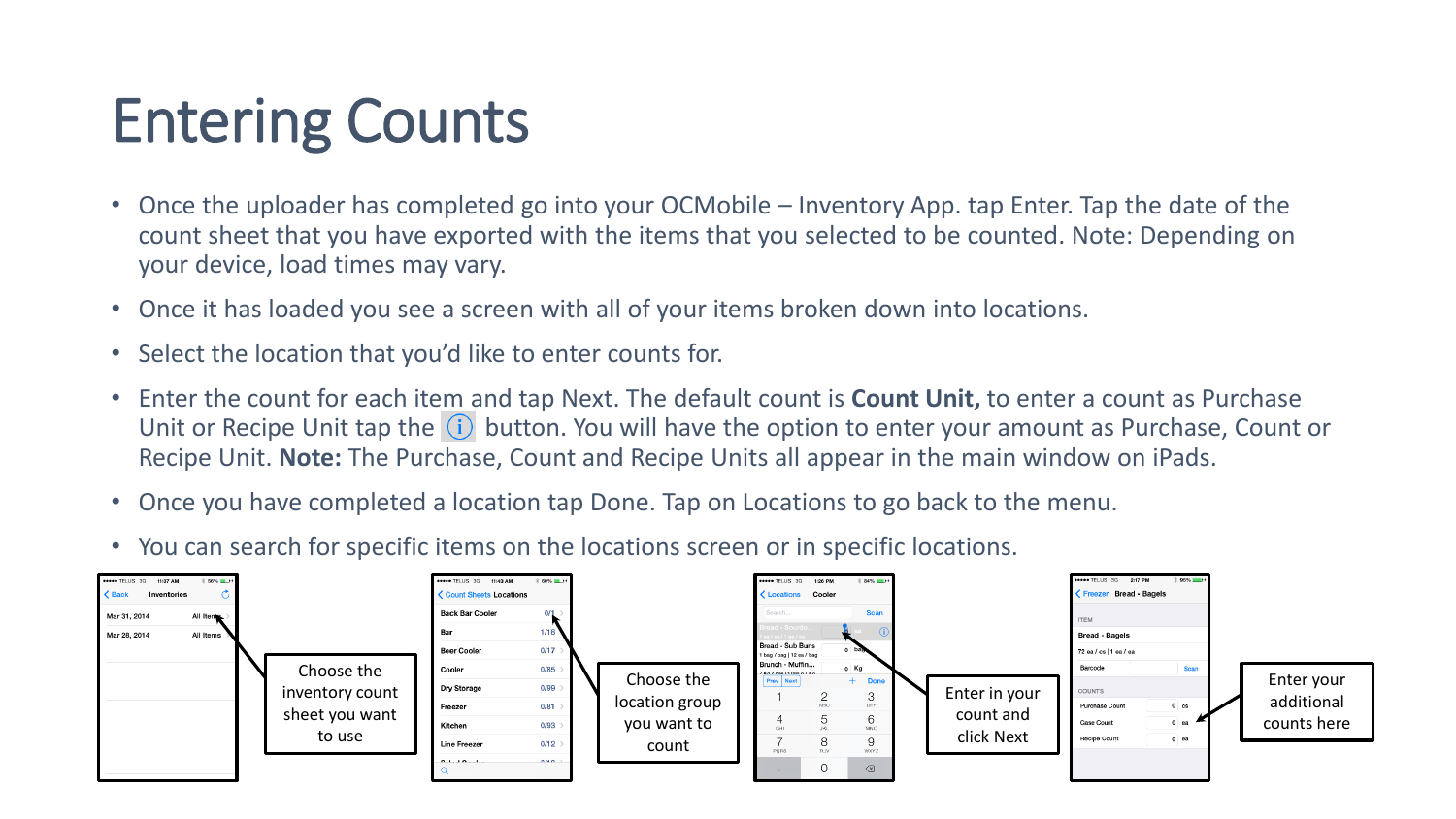## Entering Counts

- Once the uploader has completed go into your OCMobile Inventory App. tap Enter. Tap the date of the count sheet that you have exported with the items that you selected to be counted. Note: Depending on your device, load times may vary.
- Once it has loaded you see a screen with all of your items broken down into locations.
- Select the location that you'd like to enter counts for.
- Enter the count for each item and tap Next. The default count is **Count Unit,** to enter a count as Purchase Unit or Recipe Unit tap the  $(i)$  button. You will have the option to enter your amount as Purchase, Count or Recipe Unit. **Note:** The Purchase, Count and Recipe Units all appear in the main window on iPads.
- Once you have completed a location tap Done. Tap on Locations to go back to the menu.
- You can search for specific items on the locations screen or in specific locations.

| ***** TELUS 3G 11:37 AM<br>$\zeta$ Back<br>Inventories<br>$\overline{1}$<br>Mar 31, 2014<br>All Items<br>Mar 28, 2014<br>All Items | Choose the<br>inventory count<br>sheet you want | ***** TELUS 3G 11:43 AM<br><b>く Count Sheets Locations</b><br><b>Back Bar Cooler</b><br>Bar<br><b>Beer Cooler</b><br>Cooler<br>Dry Storage<br>Freezer<br>Kitchen | $\frac{1}{2}$ 60% $\blacksquare$<br>0/1<br>1/18<br>0/17<br>0/85<br>0/99<br>0/81<br>0/93 | Choose the<br>location group<br>you want to | ***** TELUS 3G 1:26 PM<br>$* 84\%$ <b>ED</b> <sup>+</sup><br>Locations Cooler<br><b>Scan</b><br>Search<br>d - Sourdo<br>$1/9a$  19a/9a<br>Bread - Sub Buns<br>1 bag / bag   12 ea / bag<br>Brunch - Muffin<br>$0$ Kg<br>7 Kn / nail 1000 n / Kn<br><b>Prev</b> Next<br><b>Done</b><br>3<br><b>ABC</b><br>DEE<br>5<br>6<br>MNO | Enter in your<br>count and | ***** TELUS 3G 2:17 PM<br>Freezer Bread - Bagels<br><b>ITEM</b><br><b>Bread - Bagels</b><br>72 ea / cs   1 ea / ea<br>Barcode<br>COUNTS<br><b>Purchase Count</b><br><b>Case Count</b> | $*95%$<br>Scan<br>$0 \text{ cs}$<br>$0$ ea | Enter your<br>additional<br>counts here |
|------------------------------------------------------------------------------------------------------------------------------------|-------------------------------------------------|------------------------------------------------------------------------------------------------------------------------------------------------------------------|-----------------------------------------------------------------------------------------|---------------------------------------------|-------------------------------------------------------------------------------------------------------------------------------------------------------------------------------------------------------------------------------------------------------------------------------------------------------------------------------|----------------------------|---------------------------------------------------------------------------------------------------------------------------------------------------------------------------------------|--------------------------------------------|-----------------------------------------|
|                                                                                                                                    | to use                                          | <b>Line Freezer</b><br>0.110011                                                                                                                                  | 0/12<br>$\sim$                                                                          | count                                       | 8<br>9<br>TUV<br>PORS<br><b>WXYZ</b><br>$\oslash$<br>0                                                                                                                                                                                                                                                                        | click Next                 | <b>Recipe Count</b>                                                                                                                                                                   | $0$ ea                                     |                                         |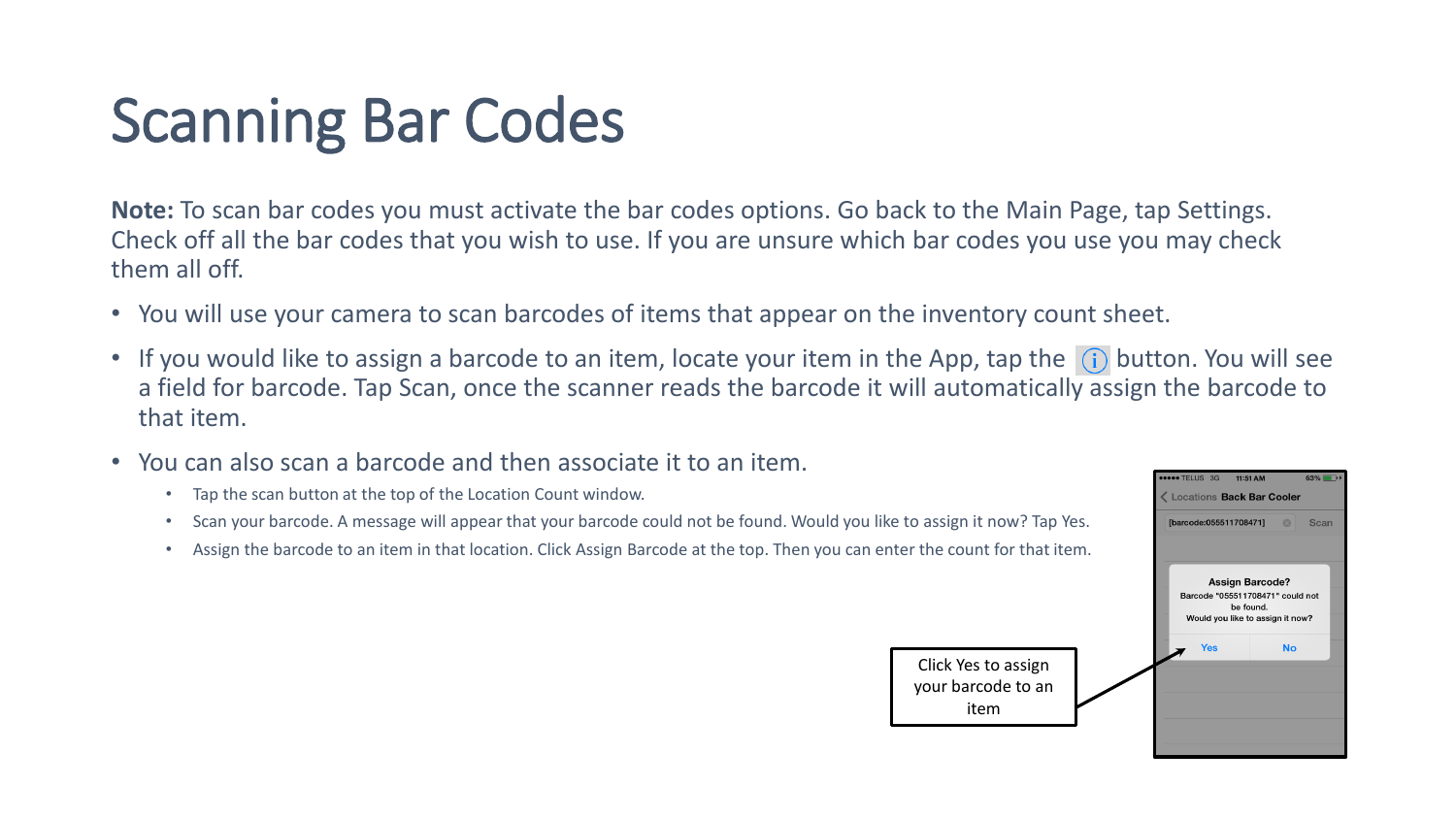# Scanning Bar Codes

**Note:** To scan bar codes you must activate the bar codes options. Go back to the Main Page, tap Settings. Check off all the bar codes that you wish to use. If you are unsure which bar codes you use you may check them all off.

- You will use your camera to scan barcodes of items that appear on the inventory count sheet.
- If you would like to assign a barcode to an item, locate your item in the App, tap the  $(i)$  button. You will see a field for barcode. Tap Scan, once the scanner reads the barcode it will automatically assign the barcode to that item.
- You can also scan a barcode and then associate it to an item.
	- Tap the scan button at the top of the Location Count window.
	- Scan your barcode. A message will appear that your barcode could not be found. Would you like to assign it now? Tap Yes.
	- Assign the barcode to an item in that location. Click Assign Barcode at the top. Then you can enter the count for that item.



item